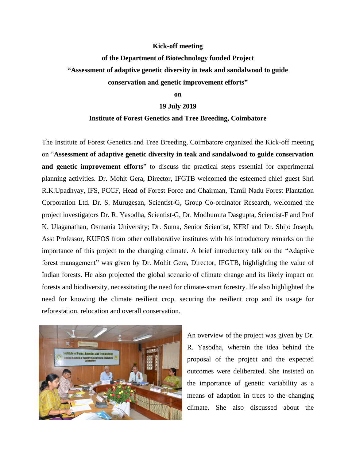### **Kick-off meeting**

# **of the Department of Biotechnology funded Project "Assessment of adaptive genetic diversity in teak and sandalwood to guide conservation and genetic improvement efforts"**

#### **on**

## **19 July 2019**

## **Institute of Forest Genetics and Tree Breeding, Coimbatore**

The Institute of Forest Genetics and Tree Breeding, Coimbatore organized the Kick-off meeting on "**Assessment of adaptive genetic diversity in teak and sandalwood to guide conservation and genetic improvement efforts**" to discuss the practical steps essential for experimental planning activities. Dr. Mohit Gera, Director, IFGTB welcomed the esteemed chief guest Shri R.K.Upadhyay, IFS, PCCF, Head of Forest Force and Chairman, Tamil Nadu Forest Plantation Corporation Ltd. Dr. S. Murugesan, Scientist-G, Group Co-ordinator Research, welcomed the project investigators Dr. R. Yasodha, Scientist-G, Dr. Modhumita Dasgupta, Scientist-F and Prof K. Ulaganathan, Osmania University; Dr. Suma, Senior Scientist, KFRI and Dr. Shijo Joseph, Asst Professor, KUFOS from other collaborative institutes with his introductory remarks on the importance of this project to the changing climate. A brief introductory talk on the "Adaptive forest management" was given by Dr. Mohit Gera, Director, IFGTB, highlighting the value of Indian forests. He also projected the global scenario of climate change and its likely impact on forests and biodiversity, necessitating the need for climate-smart forestry. He also highlighted the need for knowing the climate resilient crop, securing the resilient crop and its usage for reforestation, relocation and overall conservation.



An overview of the project was given by Dr. R. Yasodha, wherein the idea behind the proposal of the project and the expected outcomes were deliberated. She insisted on the importance of genetic variability as a means of adaption in trees to the changing climate. She also discussed about the